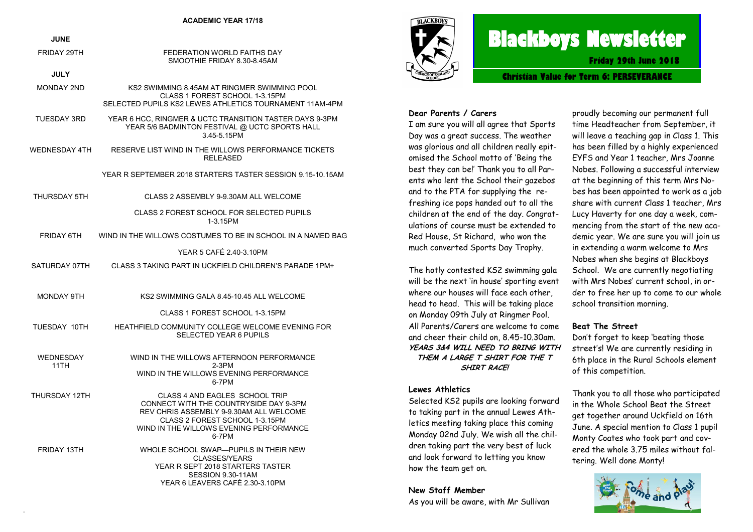| <b>JUNE</b>       |                                                                                                                                                                                                           |
|-------------------|-----------------------------------------------------------------------------------------------------------------------------------------------------------------------------------------------------------|
| FRIDAY 29TH       | FEDERATION WORLD FAITHS DAY<br>SMOOTHIE FRIDAY 8.30-8.45AM                                                                                                                                                |
| <b>JULY</b>       |                                                                                                                                                                                                           |
| <b>MONDAY 2ND</b> | KS2 SWIMMING 8.45AM AT RINGMER SWIMMING POOL<br>CLASS 1 FOREST SCHOOL 1-3.15PM<br>SELECTED PUPILS KS2 LEWES ATHLETICS TOURNAMENT 11AM-4PM                                                                 |
| TUESDAY 3RD       | YEAR 6 HCC, RINGMER & UCTC TRANSITION TASTER DAYS 9-3PM<br>YEAR 5/6 BADMINTON FESTIVAL @ UCTC SPORTS HALL<br>3.45-5.15PM                                                                                  |
| WEDNESDAY 4TH     | RESERVE LIST WIND IN THE WILLOWS PERFORMANCE TICKETS<br>RELEASED                                                                                                                                          |
|                   | YEAR R SEPTEMBER 2018 STARTERS TASTER SESSION 9.15-10.15AM                                                                                                                                                |
| THURSDAY 5TH      | CLASS 2 ASSEMBLY 9-9.30AM ALL WELCOME                                                                                                                                                                     |
|                   | CLASS 2 FOREST SCHOOL FOR SELECTED PUPILS<br>1-3.15PM                                                                                                                                                     |
| FRIDAY 6TH        | WIND IN THE WILLOWS COSTUMES TO BE IN SCHOOL IN A NAMED BAG                                                                                                                                               |
|                   | YEAR 5 CAFÉ 2.40-3.10PM                                                                                                                                                                                   |
| SATURDAY 07TH     | CLASS 3 TAKING PART IN UCKFIELD CHILDREN'S PARADE 1PM+                                                                                                                                                    |
| MONDAY 9TH        | KS2 SWIMMING GALA 8.45-10.45 ALL WELCOME                                                                                                                                                                  |
|                   | CLASS 1 FOREST SCHOOL 1-3.15PM                                                                                                                                                                            |
| TUESDAY 10TH      | HEATHFIELD COMMUNITY COLLEGE WELCOME EVENING FOR<br><b>SELECTED YEAR 6 PUPILS</b>                                                                                                                         |
| WEDNESDAY<br>11TH | WIND IN THE WILLOWS AFTERNOON PERFORMANCE<br>$2-3PM$<br>WIND IN THE WILLOWS EVENING PERFORMANCE<br>6-7PM                                                                                                  |
| THURSDAY 12TH     | CLASS 4 AND EAGLES SCHOOL TRIP<br>CONNECT WITH THE COUNTRYSIDE DAY 9-3PM<br>REV CHRIS ASSEMBLY 9-9.30AM ALL WELCOME<br>CLASS 2 FOREST SCHOOL 1-3.15PM<br>WIND IN THE WILLOWS EVENING PERFORMANCE<br>6-7PM |
| FRIDAY 13TH       | WHOLE SCHOOL SWAP-PUPILS IN THEIR NEW<br><b>CLASSES/YEARS</b><br>YEAR R SEPT 2018 STARTERS TASTER<br>SESSION 9.30-11AM<br>YFAR 6 I FAVFRS CAFF 2 30-3 10PM                                                |

.



# **Blackboys Newsletter**

**Friday 29th June 2018**

**Christian Value for Term 6: PERSEVERANCE**

#### **Dear Parents / Carers**

I am sure you will all agree that Sports Day was a great success. The weather was glorious and all children really epitomised the School motto of 'Being the best they can be!' Thank you to all Parents who lent the School their gazebos and to the PTA for supplying the refreshing ice pops handed out to all the children at the end of the day. Congratulations of course must be extended to Red House, St Richard, who won the much converted Sports Day Trophy.

The hotly contested KS2 swimming gala will be the next 'in house' sporting event where our houses will face each other, head to head. This will be taking place on Monday 09th July at Ringmer Pool. All Parents/Carers are welcome to come and cheer their child on, 8.45-10.30am. **YEARS 3&4 WILL NEED TO BRING WITH THEM A LARGE T SHIRT FOR THE T SHIRT RACE!**

#### **Lewes Athletics**

Selected KS2 pupils are looking forward to taking part in the annual Lewes Athletics meeting taking place this coming Monday 02nd July. We wish all the children taking part the very best of luck and look forward to letting you know how the team get on.

**New Staff Member** As you will be aware, with Mr Sullivan

proudly becoming our permanent full time Headteacher from September, it will leave a teaching gap in Class 1. This has been filled by a highly experienced EYFS and Year 1 teacher, Mrs Joanne Nobes. Following a successful interview at the beginning of this term Mrs Nobes has been appointed to work as a job share with current Class 1 teacher, Mrs Lucy Haverty for one day a week, commencing from the start of the new academic year. We are sure you will join us in extending a warm welcome to Mrs Nobes when she begins at Blackboys School. We are currently negotiating with Mrs Nobes' current school, in order to free her up to come to our whole school transition morning.

#### **Beat The Street**

Don't forget to keep 'beating those street's! We are currently residing in 6th place in the Rural Schools element of this competition.

Thank you to all those who participated in the Whole School Beat the Street get together around Uckfield on 16th June. A special mention to Class 1 pupil Monty Coates who took part and covered the whole 3.75 miles without faltering. Well done Monty!